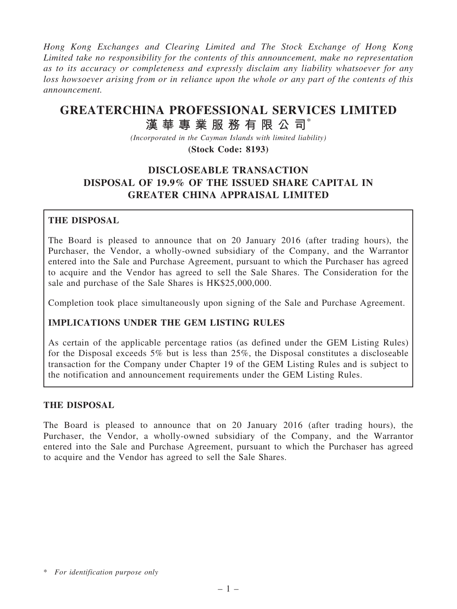Hong Kong Exchanges and Clearing Limited and The Stock Exchange of Hong Kong Limited take no responsibility for the contents of this announcement, make no representation as to its accuracy or completeness and expressly disclaim any liability whatsoever for any loss howsoever arising from or in reliance upon the whole or any part of the contents of this announcement.

# GREATERCHINA PROFESSIONAL SERVICES LIMITED

# 漢 華 專 業 服 務 有 限 公 司 $^*$

(Incorporated in the Cayman Islands with limited liability) (Stock Code: 8193)

# DISCLOSEABLE TRANSACTION DISPOSAL OF 19.9% OF THE ISSUED SHARE CAPITAL IN GREATER CHINA APPRAISAL LIMITED

# THE DISPOSAL

The Board is pleased to announce that on 20 January 2016 (after trading hours), the Purchaser, the Vendor, a wholly-owned subsidiary of the Company, and the Warrantor entered into the Sale and Purchase Agreement, pursuant to which the Purchaser has agreed to acquire and the Vendor has agreed to sell the Sale Shares. The Consideration for the sale and purchase of the Sale Shares is HK\$25,000,000.

Completion took place simultaneously upon signing of the Sale and Purchase Agreement.

# IMPLICATIONS UNDER THE GEM LISTING RULES

As certain of the applicable percentage ratios (as defined under the GEM Listing Rules) for the Disposal exceeds 5% but is less than 25%, the Disposal constitutes a discloseable transaction for the Company under Chapter 19 of the GEM Listing Rules and is subject to the notification and announcement requirements under the GEM Listing Rules.

# THE DISPOSAL

The Board is pleased to announce that on 20 January 2016 (after trading hours), the Purchaser, the Vendor, a wholly-owned subsidiary of the Company, and the Warrantor entered into the Sale and Purchase Agreement, pursuant to which the Purchaser has agreed to acquire and the Vendor has agreed to sell the Sale Shares.

<sup>\*</sup> For identification purpose only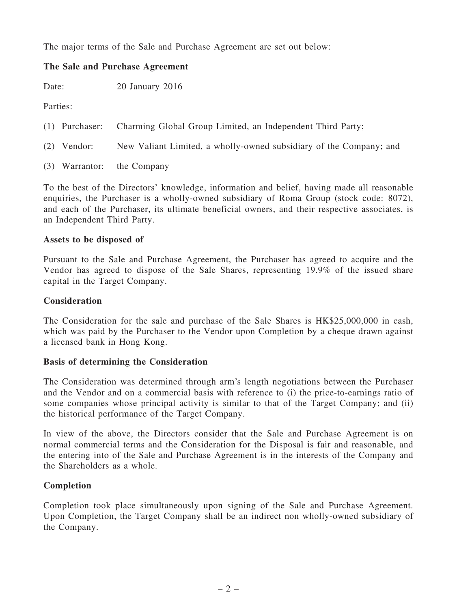The major terms of the Sale and Purchase Agreement are set out below:

# The Sale and Purchase Agreement

Date: 20 January 2016

Parties:

- (1) Purchaser: Charming Global Group Limited, an Independent Third Party;
- (2) Vendor: New Valiant Limited, a wholly-owned subsidiary of the Company; and
- (3) Warrantor: the Company

To the best of the Directors' knowledge, information and belief, having made all reasonable enquiries, the Purchaser is a wholly-owned subsidiary of Roma Group (stock code: 8072), and each of the Purchaser, its ultimate beneficial owners, and their respective associates, is an Independent Third Party.

#### Assets to be disposed of

Pursuant to the Sale and Purchase Agreement, the Purchaser has agreed to acquire and the Vendor has agreed to dispose of the Sale Shares, representing 19.9% of the issued share capital in the Target Company.

#### **Consideration**

The Consideration for the sale and purchase of the Sale Shares is HK\$25,000,000 in cash, which was paid by the Purchaser to the Vendor upon Completion by a cheque drawn against a licensed bank in Hong Kong.

#### Basis of determining the Consideration

The Consideration was determined through arm's length negotiations between the Purchaser and the Vendor and on a commercial basis with reference to (i) the price-to-earnings ratio of some companies whose principal activity is similar to that of the Target Company; and (ii) the historical performance of the Target Company.

In view of the above, the Directors consider that the Sale and Purchase Agreement is on normal commercial terms and the Consideration for the Disposal is fair and reasonable, and the entering into of the Sale and Purchase Agreement is in the interests of the Company and the Shareholders as a whole.

# Completion

Completion took place simultaneously upon signing of the Sale and Purchase Agreement. Upon Completion, the Target Company shall be an indirect non wholly-owned subsidiary of the Company.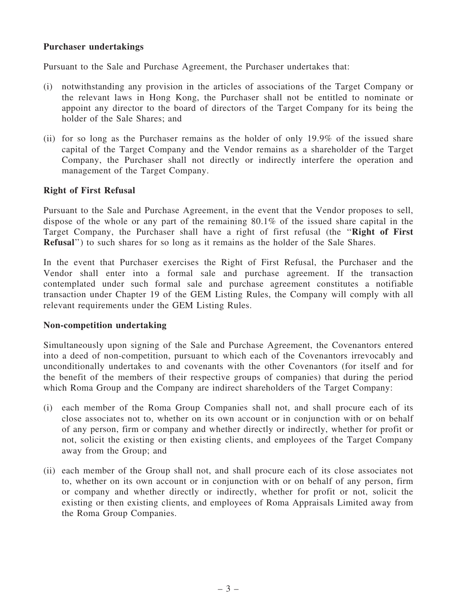#### Purchaser undertakings

Pursuant to the Sale and Purchase Agreement, the Purchaser undertakes that:

- (i) notwithstanding any provision in the articles of associations of the Target Company or the relevant laws in Hong Kong, the Purchaser shall not be entitled to nominate or appoint any director to the board of directors of the Target Company for its being the holder of the Sale Shares; and
- (ii) for so long as the Purchaser remains as the holder of only 19.9% of the issued share capital of the Target Company and the Vendor remains as a shareholder of the Target Company, the Purchaser shall not directly or indirectly interfere the operation and management of the Target Company.

#### Right of First Refusal

Pursuant to the Sale and Purchase Agreement, in the event that the Vendor proposes to sell, dispose of the whole or any part of the remaining 80.1% of the issued share capital in the Target Company, the Purchaser shall have a right of first refusal (the ''Right of First Refusal'') to such shares for so long as it remains as the holder of the Sale Shares.

In the event that Purchaser exercises the Right of First Refusal, the Purchaser and the Vendor shall enter into a formal sale and purchase agreement. If the transaction contemplated under such formal sale and purchase agreement constitutes a notifiable transaction under Chapter 19 of the GEM Listing Rules, the Company will comply with all relevant requirements under the GEM Listing Rules.

#### Non-competition undertaking

Simultaneously upon signing of the Sale and Purchase Agreement, the Covenantors entered into a deed of non-competition, pursuant to which each of the Covenantors irrevocably and unconditionally undertakes to and covenants with the other Covenantors (for itself and for the benefit of the members of their respective groups of companies) that during the period which Roma Group and the Company are indirect shareholders of the Target Company:

- (i) each member of the Roma Group Companies shall not, and shall procure each of its close associates not to, whether on its own account or in conjunction with or on behalf of any person, firm or company and whether directly or indirectly, whether for profit or not, solicit the existing or then existing clients, and employees of the Target Company away from the Group; and
- (ii) each member of the Group shall not, and shall procure each of its close associates not to, whether on its own account or in conjunction with or on behalf of any person, firm or company and whether directly or indirectly, whether for profit or not, solicit the existing or then existing clients, and employees of Roma Appraisals Limited away from the Roma Group Companies.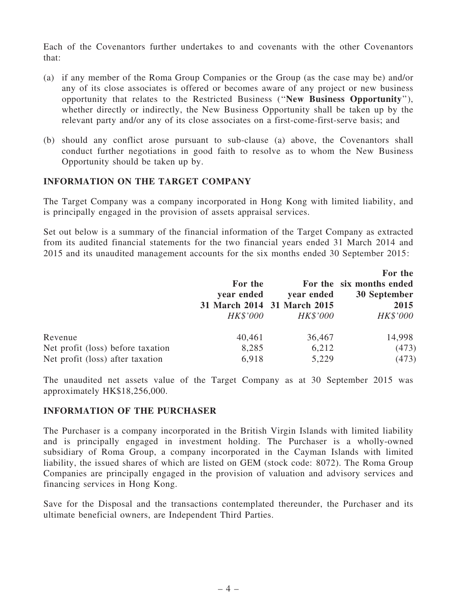Each of the Covenantors further undertakes to and covenants with the other Covenantors that:

- (a) if any member of the Roma Group Companies or the Group (as the case may be) and/or any of its close associates is offered or becomes aware of any project or new business opportunity that relates to the Restricted Business (''New Business Opportunity''), whether directly or indirectly, the New Business Opportunity shall be taken up by the relevant party and/or any of its close associates on a first-come-first-serve basis; and
- (b) should any conflict arose pursuant to sub-clause (a) above, the Covenantors shall conduct further negotiations in good faith to resolve as to whom the New Business Opportunity should be taken up by.

#### INFORMATION ON THE TARGET COMPANY

The Target Company was a company incorporated in Hong Kong with limited liability, and is principally engaged in the provision of assets appraisal services.

Set out below is a summary of the financial information of the Target Company as extracted from its audited financial statements for the two financial years ended 31 March 2014 and 2015 and its unaudited management accounts for the six months ended 30 September 2015:

|                                   |                             |            | For the                  |
|-----------------------------------|-----------------------------|------------|--------------------------|
|                                   | For the                     |            | For the six months ended |
|                                   | year ended                  | year ended | 30 September             |
|                                   | 31 March 2014 31 March 2015 |            | 2015                     |
|                                   | HK\$'000                    | HK\$'000   | HK\$'000                 |
| Revenue                           | 40,461                      | 36,467     | 14,998                   |
| Net profit (loss) before taxation | 8,285                       | 6,212      | (473)                    |
| Net profit (loss) after taxation  | 6,918                       | 5,229      | (473)                    |

The unaudited net assets value of the Target Company as at 30 September 2015 was approximately HK\$18,256,000.

#### INFORMATION OF THE PURCHASER

The Purchaser is a company incorporated in the British Virgin Islands with limited liability and is principally engaged in investment holding. The Purchaser is a wholly-owned subsidiary of Roma Group, a company incorporated in the Cayman Islands with limited liability, the issued shares of which are listed on GEM (stock code: 8072). The Roma Group Companies are principally engaged in the provision of valuation and advisory services and financing services in Hong Kong.

Save for the Disposal and the transactions contemplated thereunder, the Purchaser and its ultimate beneficial owners, are Independent Third Parties.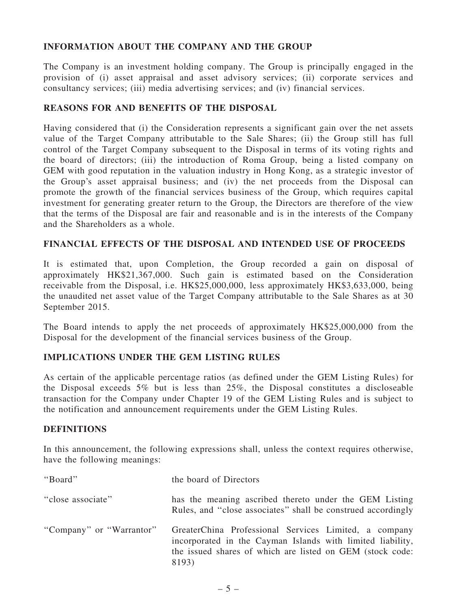# INFORMATION ABOUT THE COMPANY AND THE GROUP

The Company is an investment holding company. The Group is principally engaged in the provision of (i) asset appraisal and asset advisory services; (ii) corporate services and consultancy services; (iii) media advertising services; and (iv) financial services.

### REASONS FOR AND BENEFITS OF THE DISPOSAL

Having considered that (i) the Consideration represents a significant gain over the net assets value of the Target Company attributable to the Sale Shares; (ii) the Group still has full control of the Target Company subsequent to the Disposal in terms of its voting rights and the board of directors; (iii) the introduction of Roma Group, being a listed company on GEM with good reputation in the valuation industry in Hong Kong, as a strategic investor of the Group's asset appraisal business; and (iv) the net proceeds from the Disposal can promote the growth of the financial services business of the Group, which requires capital investment for generating greater return to the Group, the Directors are therefore of the view that the terms of the Disposal are fair and reasonable and is in the interests of the Company and the Shareholders as a whole.

#### FINANCIAL EFFECTS OF THE DISPOSAL AND INTENDED USE OF PROCEEDS

It is estimated that, upon Completion, the Group recorded a gain on disposal of approximately HK\$21,367,000. Such gain is estimated based on the Consideration receivable from the Disposal, i.e. HK\$25,000,000, less approximately HK\$3,633,000, being the unaudited net asset value of the Target Company attributable to the Sale Shares as at 30 September 2015.

The Board intends to apply the net proceeds of approximately HK\$25,000,000 from the Disposal for the development of the financial services business of the Group.

# IMPLICATIONS UNDER THE GEM LISTING RULES

As certain of the applicable percentage ratios (as defined under the GEM Listing Rules) for the Disposal exceeds 5% but is less than 25%, the Disposal constitutes a discloseable transaction for the Company under Chapter 19 of the GEM Listing Rules and is subject to the notification and announcement requirements under the GEM Listing Rules.

# **DEFINITIONS**

In this announcement, the following expressions shall, unless the context requires otherwise, have the following meanings:

| "Board"                  | the board of Directors                                                                                                                                                                    |
|--------------------------|-------------------------------------------------------------------------------------------------------------------------------------------------------------------------------------------|
| "close associate"        | has the meaning ascribed thereto under the GEM Listing<br>Rules, and "close associates" shall be construed accordingly                                                                    |
| "Company" or "Warrantor" | GreaterChina Professional Services Limited, a company<br>incorporated in the Cayman Islands with limited liability,<br>the issued shares of which are listed on GEM (stock code:<br>8193) |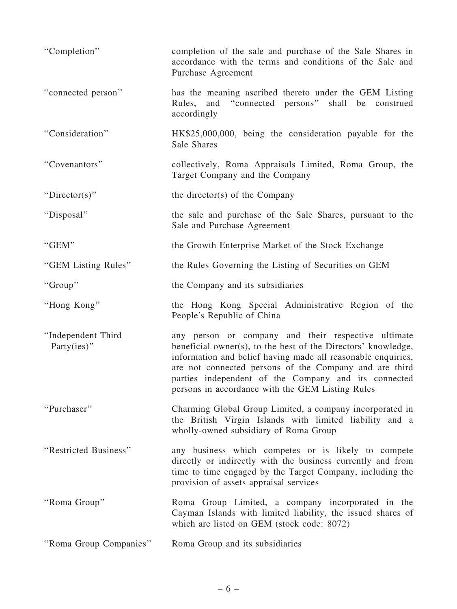| "Completion"                          | completion of the sale and purchase of the Sale Shares in<br>accordance with the terms and conditions of the Sale and<br>Purchase Agreement                                                                                                                                                                                                                |
|---------------------------------------|------------------------------------------------------------------------------------------------------------------------------------------------------------------------------------------------------------------------------------------------------------------------------------------------------------------------------------------------------------|
| "connected person"                    | has the meaning ascribed thereto under the GEM Listing<br>Rules, and "connected persons" shall be construed<br>accordingly                                                                                                                                                                                                                                 |
| "Consideration"                       | HK\$25,000,000, being the consideration payable for the<br>Sale Shares                                                                                                                                                                                                                                                                                     |
| "Covenantors"                         | collectively, Roma Appraisals Limited, Roma Group, the<br>Target Company and the Company                                                                                                                                                                                                                                                                   |
| "Director(s)"                         | the director(s) of the Company                                                                                                                                                                                                                                                                                                                             |
| "Disposal"                            | the sale and purchase of the Sale Shares, pursuant to the<br>Sale and Purchase Agreement                                                                                                                                                                                                                                                                   |
| "GEM"                                 | the Growth Enterprise Market of the Stock Exchange                                                                                                                                                                                                                                                                                                         |
| "GEM Listing Rules"                   | the Rules Governing the Listing of Securities on GEM                                                                                                                                                                                                                                                                                                       |
| "Group"                               | the Company and its subsidiaries                                                                                                                                                                                                                                                                                                                           |
| "Hong Kong"                           | the Hong Kong Special Administrative Region of the<br>People's Republic of China                                                                                                                                                                                                                                                                           |
| "Independent Third<br>Party $(ies)$ " | any person or company and their respective ultimate<br>beneficial owner(s), to the best of the Directors' knowledge,<br>information and belief having made all reasonable enquiries,<br>are not connected persons of the Company and are third<br>parties independent of the Company and its connected<br>persons in accordance with the GEM Listing Rules |
| "Purchaser"                           | Charming Global Group Limited, a company incorporated in<br>the British Virgin Islands with limited liability and a<br>wholly-owned subsidiary of Roma Group                                                                                                                                                                                               |
| "Restricted Business"                 | any business which competes or is likely to compete<br>directly or indirectly with the business currently and from<br>time to time engaged by the Target Company, including the<br>provision of assets appraisal services                                                                                                                                  |
| "Roma Group"                          | Roma Group Limited, a company incorporated in the<br>Cayman Islands with limited liability, the issued shares of<br>which are listed on GEM (stock code: 8072)                                                                                                                                                                                             |
|                                       |                                                                                                                                                                                                                                                                                                                                                            |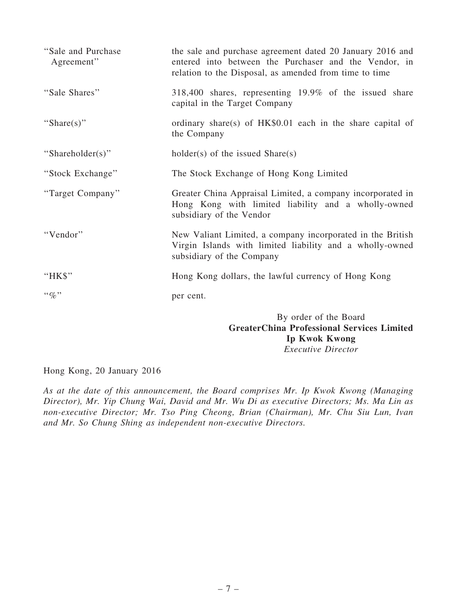| "Sale and Purchase"<br>Agreement" | the sale and purchase agreement dated 20 January 2016 and<br>entered into between the Purchaser and the Vendor, in<br>relation to the Disposal, as amended from time to time |
|-----------------------------------|------------------------------------------------------------------------------------------------------------------------------------------------------------------------------|
| "Sale Shares"                     | 318,400 shares, representing 19.9% of the issued share<br>capital in the Target Company                                                                                      |
| "Share(s)"                        | ordinary share(s) of HK\$0.01 each in the share capital of<br>the Company                                                                                                    |
| "Shareholder(s)"                  | $holder(s)$ of the issued $Share(s)$                                                                                                                                         |
| "Stock Exchange"                  | The Stock Exchange of Hong Kong Limited                                                                                                                                      |
| "Target Company"                  | Greater China Appraisal Limited, a company incorporated in<br>Hong Kong with limited liability and a wholly-owned<br>subsidiary of the Vendor                                |
| "Vendor"                          | New Valiant Limited, a company incorporated in the British<br>Virgin Islands with limited liability and a wholly-owned<br>subsidiary of the Company                          |
| "HK\$"                            | Hong Kong dollars, the lawful currency of Hong Kong                                                                                                                          |
| $\lq\lq q_0$ "                    | per cent.                                                                                                                                                                    |
|                                   | By order of the Board<br><b>GreaterChina Professional Services Limited</b>                                                                                                   |

Ip Kwok Kwong

Executive Director

Hong Kong, 20 January 2016

As at the date of this announcement, the Board comprises Mr. Ip Kwok Kwong (Managing Director), Mr. Yip Chung Wai, David and Mr. Wu Di as executive Directors; Ms. Ma Lin as non-executive Director; Mr. Tso Ping Cheong, Brian (Chairman), Mr. Chu Siu Lun, Ivan and Mr. So Chung Shing as independent non-executive Directors.